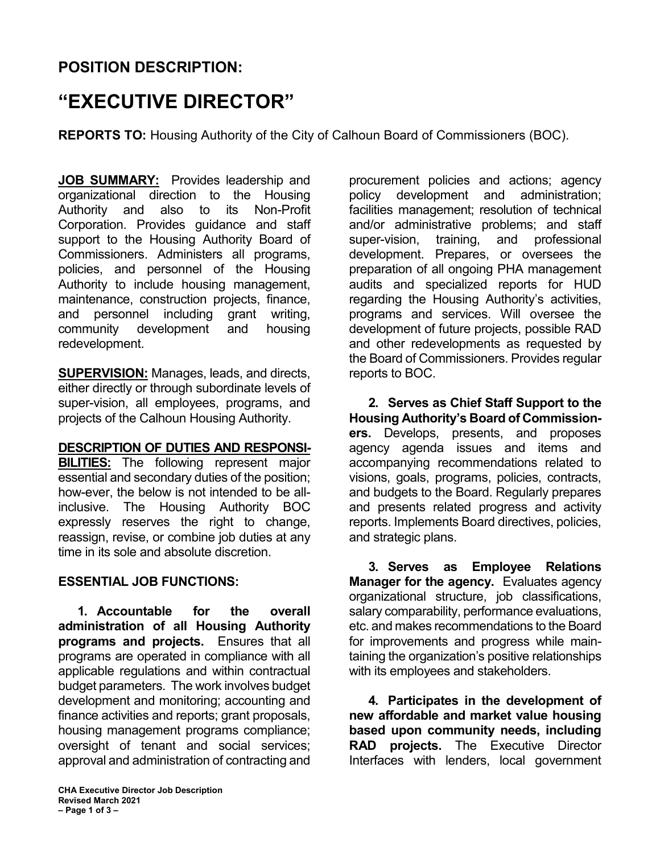# **POSITION DESCRIPTION:**

# **"EXECUTIVE DIRECTOR"**

**REPORTS TO:** Housing Authority of the City of Calhoun Board of Commissioners (BOC).

**JOB SUMMARY:** Provides leadership and organizational direction to the Housing Authority and also to its Non-Profit Corporation. Provides guidance and staff support to the Housing Authority Board of Commissioners. Administers all programs, policies, and personnel of the Housing Authority to include housing management, maintenance, construction projects, finance, and personnel including grant writing, community development and housing redevelopment.

**SUPERVISION:** Manages, leads, and directs, either directly or through subordinate levels of super-vision, all employees, programs, and projects of the Calhoun Housing Authority.

#### **DESCRIPTION OF DUTIES AND RESPONSI-**

**BILITIES:** The following represent major essential and secondary duties of the position; how-ever, the below is not intended to be allinclusive. The Housing Authority BOC expressly reserves the right to change, reassign, revise, or combine job duties at any time in its sole and absolute discretion.

## **ESSENTIAL JOB FUNCTIONS:**

**1. Accountable for the overall administration of all Housing Authority programs and projects.** Ensures that all programs are operated in compliance with all applicable regulations and within contractual budget parameters. The work involves budget development and monitoring; accounting and finance activities and reports; grant proposals, housing management programs compliance; oversight of tenant and social services; approval and administration of contracting and procurement policies and actions; agency policy development and administration; facilities management; resolution of technical and/or administrative problems; and staff super-vision, training, and professional development. Prepares, or oversees the preparation of all ongoing PHA management audits and specialized reports for HUD regarding the Housing Authority's activities, programs and services. Will oversee the development of future projects, possible RAD and other redevelopments as requested by the Board of Commissioners. Provides regular reports to BOC.

**2. Serves as Chief Staff Support to the Housing Authority's Board of Commissioners.** Develops, presents, and proposes agency agenda issues and items and accompanying recommendations related to visions, goals, programs, policies, contracts, and budgets to the Board. Regularly prepares and presents related progress and activity reports. Implements Board directives, policies, and strategic plans.

**3. Serves as Employee Relations Manager for the agency.** Evaluates agency organizational structure, job classifications, salary comparability, performance evaluations, etc. and makes recommendations to the Board for improvements and progress while maintaining the organization's positive relationships with its employees and stakeholders.

**4. Participates in the development of new affordable and market value housing based upon community needs, including RAD projects.** The Executive Director Interfaces with lenders, local government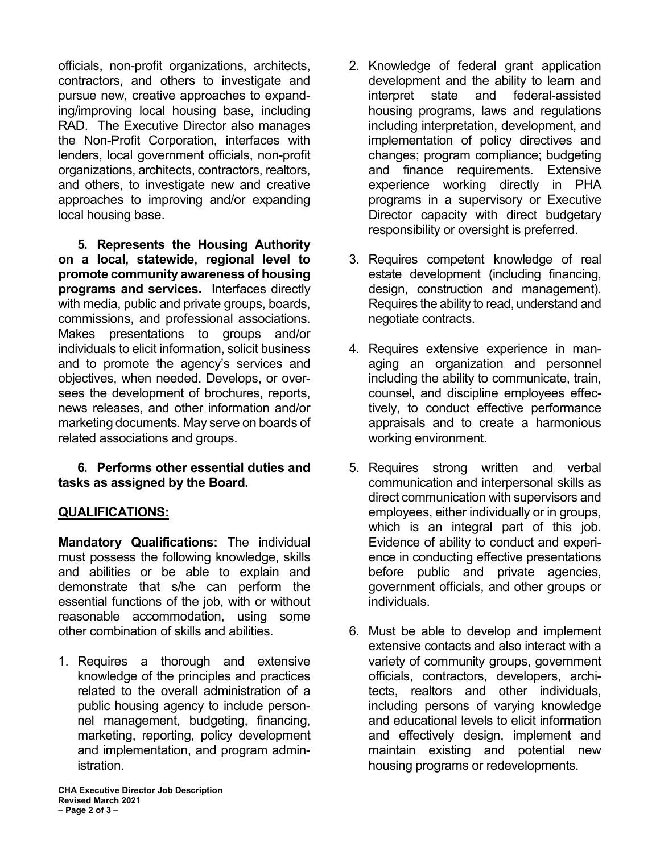officials, non-profit organizations, architects, contractors, and others to investigate and pursue new, creative approaches to expanding/improving local housing base, including RAD. The Executive Director also manages the Non-Profit Corporation, interfaces with lenders, local government officials, non-profit organizations, architects, contractors, realtors, and others, to investigate new and creative approaches to improving and/or expanding local housing base.

**5. Represents the Housing Authority on a local, statewide, regional level to promote community awareness of housing programs and services.** Interfaces directly with media, public and private groups, boards, commissions, and professional associations. Makes presentations to groups and/or individuals to elicit information, solicit business and to promote the agency's services and objectives, when needed. Develops, or oversees the development of brochures, reports, news releases, and other information and/or marketing documents. May serve on boards of related associations and groups.

#### **6. Performs other essential duties and tasks as assigned by the Board.**

## **QUALIFICATIONS:**

**Mandatory Qualifications:** The individual must possess the following knowledge, skills and abilities or be able to explain and demonstrate that s/he can perform the essential functions of the job, with or without reasonable accommodation, using some other combination of skills and abilities.

1. Requires a thorough and extensive knowledge of the principles and practices related to the overall administration of a public housing agency to include personnel management, budgeting, financing, marketing, reporting, policy development and implementation, and program administration.

- 2. Knowledge of federal grant application development and the ability to learn and interpret state and federal-assisted housing programs, laws and regulations including interpretation, development, and implementation of policy directives and changes; program compliance; budgeting and finance requirements. Extensive experience working directly in PHA programs in a supervisory or Executive Director capacity with direct budgetary responsibility or oversight is preferred.
- 3. Requires competent knowledge of real estate development (including financing, design, construction and management). Requires the ability to read, understand and negotiate contracts.
- 4. Requires extensive experience in managing an organization and personnel including the ability to communicate, train, counsel, and discipline employees effectively, to conduct effective performance appraisals and to create a harmonious working environment.
- 5. Requires strong written and verbal communication and interpersonal skills as direct communication with supervisors and employees, either individually or in groups, which is an integral part of this job. Evidence of ability to conduct and experience in conducting effective presentations before public and private agencies, government officials, and other groups or individuals.
- 6. Must be able to develop and implement extensive contacts and also interact with a variety of community groups, government officials, contractors, developers, architects, realtors and other individuals, including persons of varying knowledge and educational levels to elicit information and effectively design, implement and maintain existing and potential new housing programs or redevelopments.